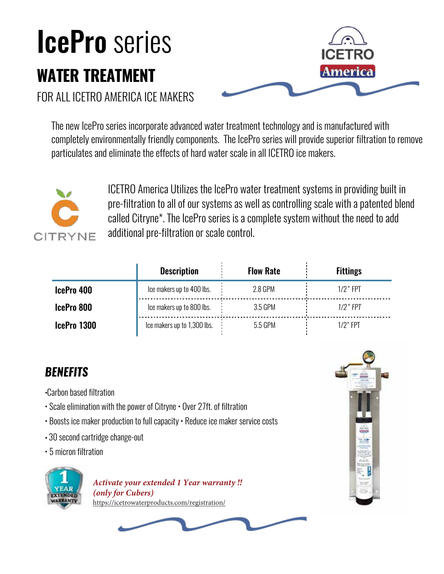## IcePro series **WATER TREATMENT**



FOR ALL ICETRO AMERICA ICE MAKERS

The new IcePro series incorporate advanced water treatment technology and is manufactured with completely environmentally friendly components. The IcePro series will provide superior filtration to remove particulates and eliminate the effects of hard water scale in all ICETRO ice makers.



ICETRO America Utilizes the IcePro water treatment systems in providing built in pre-filtration to all of our systems as well as controlling scale with a patented blend called Citryne\*. The IcePro series is a complete system without the need to add additional pre-filtration or scale control.

|             | <b>Description</b>          | <b>Flow Rate</b> | <b>Fittings</b> |
|-------------|-----------------------------|------------------|-----------------|
| IcePro 400  | Ice makers up to 400 lbs.   | 2.8 GPM          | $1/2$ " FPT     |
| IcePro 800  | Ice makers up to 800 lbs.   | 3.5 GPM          | $1/2$ " FPT     |
| IcePro 1300 | Ice makers up to 1,300 lbs. | 5.5 GPM          | $1/2$ " FPT     |

## *BENEFITS*

- •Carbon based filtration
- Scale elimination with the power of Citryne Over 27ft. of filtration
- Boosts ice maker production to full capacity Reduce ice maker service costs
- 30 second cartridge change-out
- 5 micron filtration



*Activate your extended 1 Year warranty !! (only for Cubers)* https://icetrowaterproducts.com/registration/